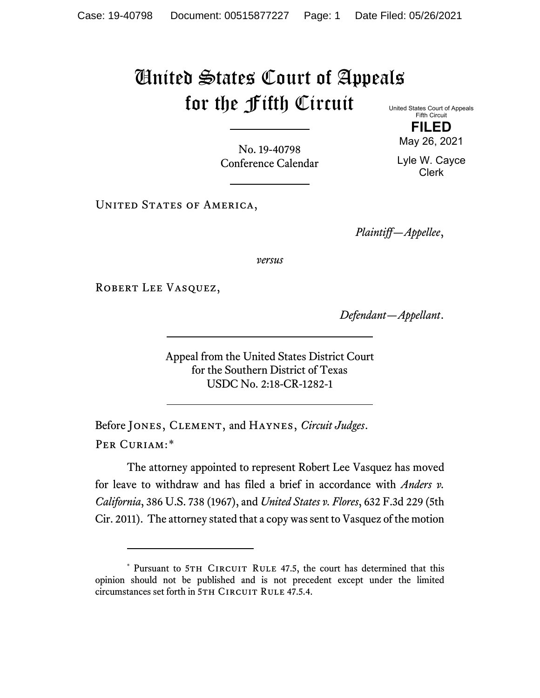## United States Court of Appeals for the Fifth Circuit United States Court of Appeals

Fifth Circuit **FILED**

May 26, 2021

No. 19-40798 Conference Calendar

Lyle W. Cayce Clerk

UNITED STATES OF AMERICA,

*Plaintiff—Appellee*,

*versus*

ROBERT LEE VASQUEZ,

*Defendant—Appellant*.

Appeal from the United States District Court for the Southern District of Texas USDC No. 2:18-CR-1282-1

Before Jones, Clement, and Haynes, *Circuit Judges*. Per Curiam:[\\*](#page-0-0)

The attorney appointed to represent Robert Lee Vasquez has moved for leave to withdraw and has filed a brief in accordance with *Anders v. California*, 386 U.S. 738 (1967), and *United States v. Flores*, 632 F.3d 229 (5th Cir. 2011). The attorney stated that a copy was sent to Vasquez of the motion

<span id="page-0-0"></span><sup>\*</sup> Pursuant to 5TH CIRCUIT RULE 47.5, the court has determined that this opinion should not be published and is not precedent except under the limited circumstances set forth in 5TH CIRCUIT RULE 47.5.4.